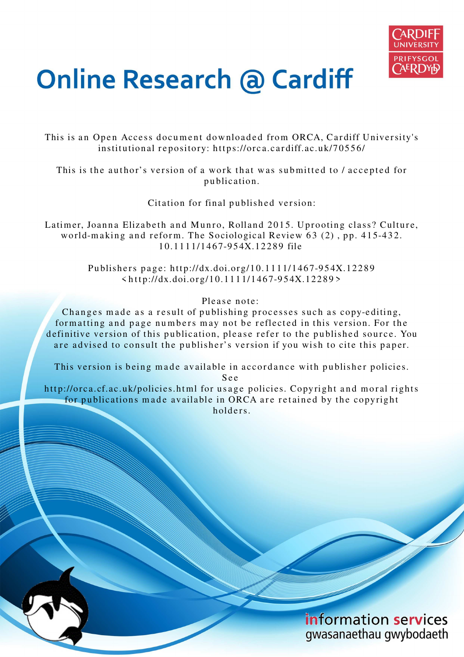

# **Online Research @ Cardiff**

This is an Open Access document downloaded from ORCA, Cardiff University's institutional repository: https://orca.cardiff.ac.uk/70556/

This is the author's version of a work that was submitted to / accepted for p u blication.

Citation for final published version:

Latimer, Joanna Elizabeth and Munro, Rolland 2015. Uprooting class? Culture, world-making and reform. The Sociological Review  $63(2)$ , pp. 415-432. 10.1111/1467-954X.12289 file

> Publishers page: http://dx.doi.org/10.1111/1467-954X.12289 < h t t p://dx.doi.org/10.11 1 1/146 7-9 5 4X.122 8 9 >

> > Please note:

Changes made as a result of publishing processes such as copy-editing, formatting and page numbers may not be reflected in this version. For the definitive version of this publication, please refer to the published source. You are advised to consult the publisher's version if you wish to cite this paper.

This version is being made available in accordance with publisher policies.

S e e

http://orca.cf.ac.uk/policies.html for usage policies. Copyright and moral rights for publications made available in ORCA are retained by the copyright holders.

> information services gwasanaethau gwybodaeth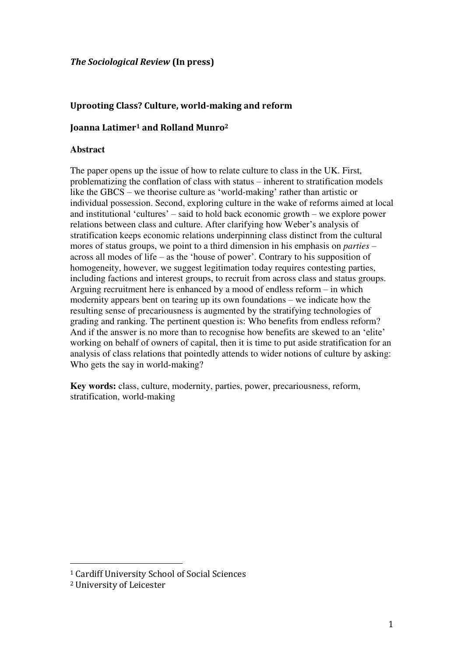# *The Sociological Review* **(In press)**

# **Uprooting Class? Culture, world-making and reform**

#### **Joanna Latimer1 and Rolland Munro<sup>2</sup>**

#### **Abstract**

The paper opens up the issue of how to relate culture to class in the UK. First, problematizing the conflation of class with status – inherent to stratification models like the GBCS – we theorise culture as 'world-making' rather than artistic or individual possession. Second, exploring culture in the wake of reforms aimed at local and institutional 'cultures' – said to hold back economic growth – we explore power relations between class and culture. After clarifying how Weber's analysis of stratification keeps economic relations underpinning class distinct from the cultural mores of status groups, we point to a third dimension in his emphasis on *parties* – across all modes of life – as the 'house of power'. Contrary to his supposition of homogeneity, however, we suggest legitimation today requires contesting parties, including factions and interest groups, to recruit from across class and status groups. Arguing recruitment here is enhanced by a mood of endless reform – in which modernity appears bent on tearing up its own foundations – we indicate how the resulting sense of precariousness is augmented by the stratifying technologies of grading and ranking. The pertinent question is: Who benefits from endless reform? And if the answer is no more than to recognise how benefits are skewed to an 'elite' working on behalf of owners of capital, then it is time to put aside stratification for an analysis of class relations that pointedly attends to wider notions of culture by asking: Who gets the say in world-making?

**Key words:** class, culture, modernity, parties, power, precariousness, reform, stratification, world-making

 $\overline{a}$ 

<sup>1</sup> Cardiff University School of Social Sciences

<sup>2</sup> University of Leicester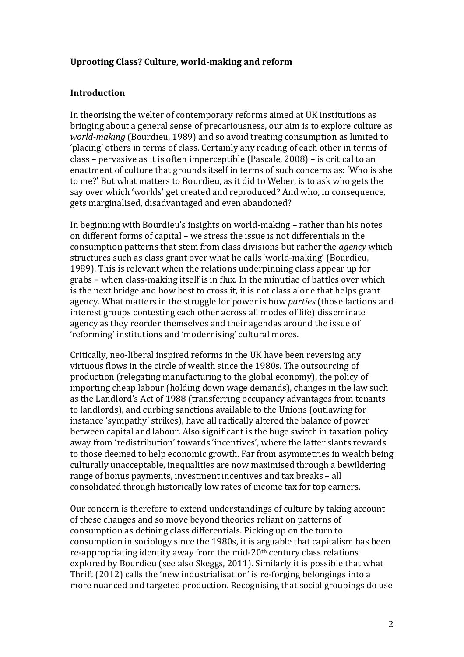# **Uprooting Class? Culture, world-making and reform**

## **Introduction**

In theorising the welter of contemporary reforms aimed at UK institutions as bringing about a general sense of precariousness, our aim is to explore culture as *world-making* (Bourdieu, 1989) and so avoid treating consumption as limited to 'placing' others in terms of class. Certainly any reading of each other in terms of class – pervasive as it is often imperceptible (Pascale, 2008) – is critical to an enactment of culture that grounds itself in terms of such concerns as: 'Who is she to me?' But what matters to Bourdieu, as it did to Weber, is to ask who gets the say over which 'worlds' get created and reproduced? And who, in consequence, gets marginalised, disadvantaged and even abandoned?

In beginning with Bourdieu's insights on world-making – rather than his notes on different forms of capital – we stress the issue is not differentials in the consumption patterns that stem from class divisions but rather the *agency* which structures such as class grant over what he calls 'world-making' (Bourdieu, 1989). This is relevant when the relations underpinning class appear up for grabs – when class-making itself is in flux. In the minutiae of battles over which is the next bridge and how best to cross it, it is not class alone that helps grant agency. What matters in the struggle for power is how *parties* (those factions and interest groups contesting each other across all modes of life) disseminate agency as they reorder themselves and their agendas around the issue of 'reforming' institutions and 'modernising' cultural mores.

Critically, neo-liberal inspired reforms in the UK have been reversing any virtuous flows in the circle of wealth since the 1980s. The outsourcing of production (relegating manufacturing to the global economy), the policy of importing cheap labour (holding down wage demands), changes in the law such as the Landlord's Act of 1988 (transferring occupancy advantages from tenants to landlords), and curbing sanctions available to the Unions (outlawing for instance 'sympathy' strikes), have all radically altered the balance of power between capital and labour. Also significant is the huge switch in taxation policy away from 'redistribution' towards 'incentives', where the latter slants rewards to those deemed to help economic growth. Far from asymmetries in wealth being culturally unacceptable, inequalities are now maximised through a bewildering range of bonus payments, investment incentives and tax breaks – all consolidated through historically low rates of income tax for top earners.

Our concern is therefore to extend understandings of culture by taking account of these changes and so move beyond theories reliant on patterns of consumption as defining class differentials. Picking up on the turn to consumption in sociology since the 1980s, it is arguable that capitalism has been re-appropriating identity away from the mid-20th century class relations explored by Bourdieu (see also Skeggs, 2011). Similarly it is possible that what Thrift (2012) calls the 'new industrialisation' is re-forging belongings into a more nuanced and targeted production. Recognising that social groupings do use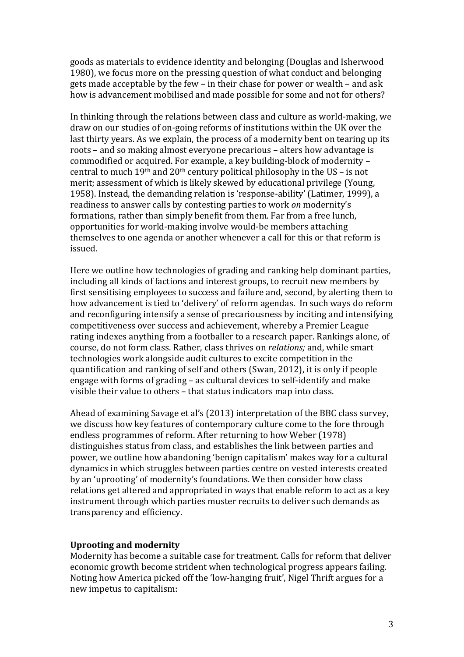goods as materials to evidence identity and belonging (Douglas and Isherwood 1980), we focus more on the pressing question of what conduct and belonging gets made acceptable by the few – in their chase for power or wealth – and ask how is advancement mobilised and made possible for some and not for others?

In thinking through the relations between class and culture as world-making, we draw on our studies of on-going reforms of institutions within the UK over the last thirty years. As we explain, the process of a modernity bent on tearing up its roots – and so making almost everyone precarious – alters how advantage is commodified or acquired. For example, a key building-block of modernity – central to much  $19<sup>th</sup>$  and  $20<sup>th</sup>$  century political philosophy in the US – is not merit; assessment of which is likely skewed by educational privilege (Young, 1958). Instead, the demanding relation is 'response-ability' (Latimer, 1999), a readiness to answer calls by contesting parties to work *on* modernity's formations, rather than simply benefit from them. Far from a free lunch, opportunities for world-making involve would-be members attaching themselves to one agenda or another whenever a call for this or that reform is issued.

Here we outline how technologies of grading and ranking help dominant parties, including all kinds of factions and interest groups, to recruit new members by first sensitising employees to success and failure and, second, by alerting them to how advancement is tied to 'delivery' of reform agendas. In such ways do reform and reconfiguring intensify a sense of precariousness by inciting and intensifying competitiveness over success and achievement, whereby a Premier League rating indexes anything from a footballer to a research paper. Rankings alone, of course, do not form class. Rather, class thrives on *relations;* and, while smart technologies work alongside audit cultures to excite competition in the quantification and ranking of self and others (Swan, 2012), it is only if people engage with forms of grading – as cultural devices to self-identify and make visible their value to others – that status indicators map into class.

Ahead of examining Savage et al's (2013) interpretation of the BBC class survey, we discuss how key features of contemporary culture come to the fore through endless programmes of reform. After returning to how Weber (1978) distinguishes status from class, and establishes the link between parties and power, we outline how abandoning 'benign capitalism' makes way for a cultural dynamics in which struggles between parties centre on vested interests created by an 'uprooting' of modernity's foundations. We then consider how class relations get altered and appropriated in ways that enable reform to act as a key instrument through which parties muster recruits to deliver such demands as transparency and efficiency.

#### **Uprooting and modernity**

Modernity has become a suitable case for treatment. Calls for reform that deliver economic growth become strident when technological progress appears failing. Noting how America picked off the 'low-hanging fruit', Nigel Thrift argues for a new impetus to capitalism: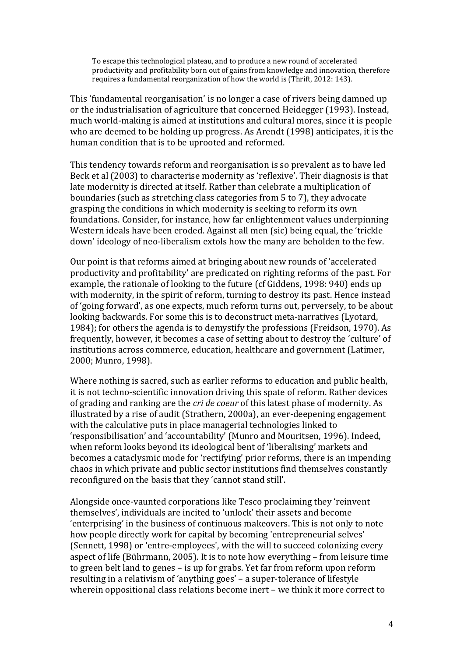To escape this technological plateau, and to produce a new round of accelerated productivity and profitability born out of gains from knowledge and innovation, therefore requires a fundamental reorganization of how the world is (Thrift, 2012: 143).

This 'fundamental reorganisation' is no longer a case of rivers being damned up or the industrialisation of agriculture that concerned Heidegger (1993). Instead, much world-making is aimed at institutions and cultural mores, since it is people who are deemed to be holding up progress. As Arendt (1998) anticipates, it is the human condition that is to be uprooted and reformed.

This tendency towards reform and reorganisation is so prevalent as to have led Beck et al (2003) to characterise modernity as 'reflexive'. Their diagnosis is that late modernity is directed at itself. Rather than celebrate a multiplication of boundaries (such as stretching class categories from 5 to 7), they advocate grasping the conditions in which modernity is seeking to reform its own foundations. Consider, for instance, how far enlightenment values underpinning Western ideals have been eroded. Against all men (sic) being equal, the 'trickle down' ideology of neo-liberalism extols how the many are beholden to the few.

Our point is that reforms aimed at bringing about new rounds of 'accelerated productivity and profitability' are predicated on righting reforms of the past. For example, the rationale of looking to the future (cf Giddens, 1998: 940) ends up with modernity, in the spirit of reform, turning to destroy its past. Hence instead of 'going forward', as one expects, much reform turns out, perversely, to be about looking backwards. For some this is to deconstruct meta-narratives (Lyotard, 1984); for others the agenda is to demystify the professions (Freidson, 1970). As frequently, however, it becomes a case of setting about to destroy the 'culture' of institutions across commerce, education, healthcare and government (Latimer, 2000; Munro, 1998).

Where nothing is sacred, such as earlier reforms to education and public health, it is not techno-scientific innovation driving this spate of reform. Rather devices of grading and ranking are the *cri de coeur* of this latest phase of modernity. As illustrated by a rise of audit (Strathern, 2000a), an ever-deepening engagement with the calculative puts in place managerial technologies linked to 'responsibilisation' and 'accountability' (Munro and Mouritsen, 1996). Indeed, when reform looks beyond its ideological bent of 'liberalising' markets and becomes a cataclysmic mode for 'rectifying' prior reforms, there is an impending chaos in which private and public sector institutions find themselves constantly reconfigured on the basis that they 'cannot stand still'.

Alongside once-vaunted corporations like Tesco proclaiming they 'reinvent themselves', individuals are incited to 'unlock' their assets and become 'enterprising' in the business of continuous makeovers. This is not only to note how people directly work for capital by becoming 'entrepreneurial selves' (Sennett, 1998) or 'entre-employees', with the will to succeed colonizing every aspect of life (Bührmann, 2005). It is to note how everything – from leisure time to green belt land to genes – is up for grabs. Yet far from reform upon reform resulting in a relativism of 'anything goes' – a super-tolerance of lifestyle wherein oppositional class relations become inert – we think it more correct to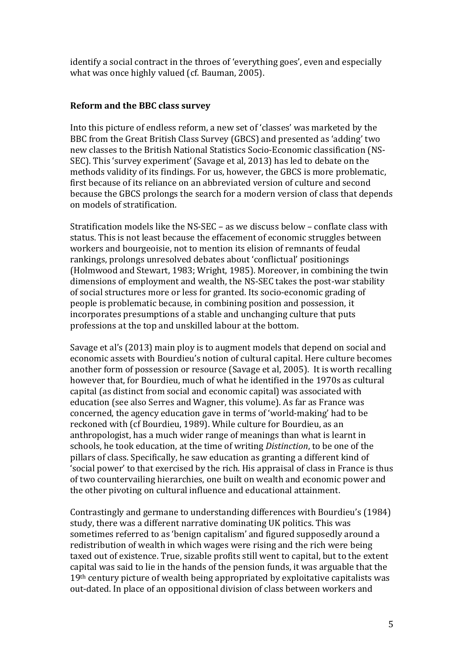identify a social contract in the throes of 'everything goes', even and especially what was once highly valued (cf. Bauman, 2005).

## **Reform and the BBC class survey**

Into this picture of endless reform, a new set of 'classes' was marketed by the BBC from the Great British Class Survey (GBCS) and presented as 'adding' two new classes to the British National Statistics Socio-Economic classification (NS-SEC). This 'survey experiment' (Savage et al, 2013) has led to debate on the methods validity of its findings. For us, however, the GBCS is more problematic, first because of its reliance on an abbreviated version of culture and second because the GBCS prolongs the search for a modern version of class that depends on models of stratification.

Stratification models like the NS-SEC – as we discuss below – conflate class with status. This is not least because the effacement of economic struggles between workers and bourgeoisie, not to mention its elision of remnants of feudal rankings, prolongs unresolved debates about 'conflictual' positionings (Holmwood and Stewart, 1983; Wright, 1985). Moreover, in combining the twin dimensions of employment and wealth, the NS-SEC takes the post-war stability of social structures more or less for granted. Its socio-economic grading of people is problematic because, in combining position and possession, it incorporates presumptions of a stable and unchanging culture that puts professions at the top and unskilled labour at the bottom.

Savage et al's (2013) main ploy is to augment models that depend on social and economic assets with Bourdieu's notion of cultural capital. Here culture becomes another form of possession or resource (Savage et al, 2005). It is worth recalling however that, for Bourdieu, much of what he identified in the 1970s as cultural capital (as distinct from social and economic capital) was associated with education (see also Serres and Wagner, this volume). As far as France was concerned, the agency education gave in terms of 'world-making' had to be reckoned with (cf Bourdieu, 1989). While culture for Bourdieu, as an anthropologist, has a much wider range of meanings than what is learnt in schools, he took education, at the time of writing *Distinction*, to be one of the pillars of class. Specifically, he saw education as granting a different kind of 'social power' to that exercised by the rich. His appraisal of class in France is thus of two countervailing hierarchies, one built on wealth and economic power and the other pivoting on cultural influence and educational attainment.

Contrastingly and germane to understanding differences with Bourdieu's (1984) study, there was a different narrative dominating UK politics. This was sometimes referred to as 'benign capitalism' and figured supposedly around a redistribution of wealth in which wages were rising and the rich were being taxed out of existence. True, sizable profits still went to capital, but to the extent capital was said to lie in the hands of the pension funds, it was arguable that the 19<sup>th</sup> century picture of wealth being appropriated by exploitative capitalists was out-dated. In place of an oppositional division of class between workers and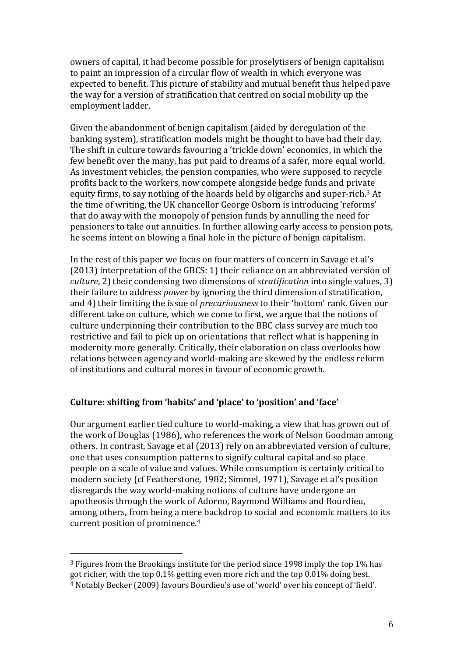owners of capital, it had become possible for proselytisers of benign capitalism to paint an impression of a circular flow of wealth in which everyone was expected to benefit. This picture of stability and mutual benefit thus helped pave the way for a version of stratification that centred on social mobility up the employment ladder.

Given the abandonment of benign capitalism (aided by deregulation of the banking system), stratification models might be thought to have had their day. The shift in culture towards favouring a 'trickle down' economics, in which the few benefit over the many, has put paid to dreams of a safer, more equal world. As investment vehicles, the pension companies, who were supposed to recycle profits back to the workers, now compete alongside hedge funds and private equity firms, to say nothing of the hoards held by oligarchs and super-rich.<sup>3</sup> At the time of writing, the UK chancellor George Osborn is introducing 'reforms' that do away with the monopoly of pension funds by annulling the need for pensioners to take out annuities. In further allowing early access to pension pots, he seems intent on blowing a final hole in the picture of benign capitalism.

In the rest of this paper we focus on four matters of concern in Savage et al's (2013) interpretation of the GBCS: 1) their reliance on an abbreviated version of *culture*, 2) their condensing two dimensions of *stratification* into single values, 3) their failure to address *power* by ignoring the third dimension of stratification, and 4) their limiting the issue of *precariousness* to their 'bottom' rank. Given our different take on culture, which we come to first, we argue that the notions of culture underpinning their contribution to the BBC class survey are much too restrictive and fail to pick up on orientations that reflect what is happening in modernity more generally. Critically, their elaboration on class overlooks how relations between agency and world-making are skewed by the endless reform of institutions and cultural mores in favour of economic growth.

# **Culture: shifting from 'habits' and 'place' to 'position' and 'face'**

Our argument earlier tied culture to world-making, a view that has grown out of the work of Douglas (1986), who references the work of Nelson Goodman among others. In contrast, Savage et al (2013) rely on an abbreviated version of culture, one that uses consumption patterns to signify cultural capital and so place people on a scale of value and values. While consumption is certainly critical to modern society (cf Featherstone, 1982; Simmel, 1971), Savage et al's position disregards the way world-making notions of culture have undergone an apotheosis through the work of Adorno, Raymond Williams and Bourdieu, among others, from being a mere backdrop to social and economic matters to its current position of prominence.<sup>4</sup>

 $\overline{a}$ 

<sup>3</sup> Figures from the Brookings institute for the period since 1998 imply the top 1% has got richer, with the top 0.1% getting even more rich and the top 0.01% doing best. <sup>4</sup> Notably Becker (2009) favours Bourdieu's use of 'world' over his concept of 'field'.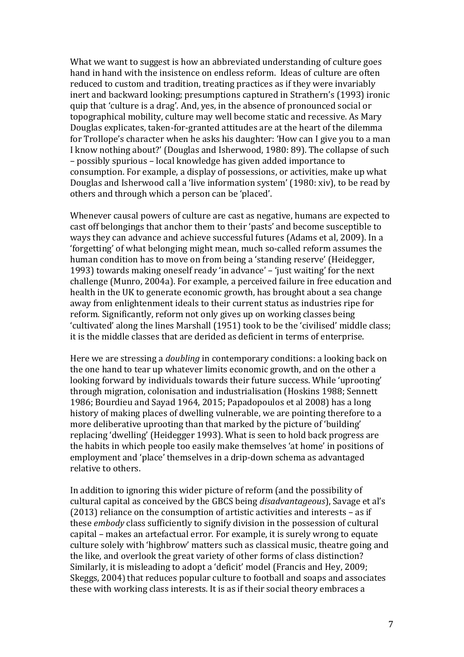What we want to suggest is how an abbreviated understanding of culture goes hand in hand with the insistence on endless reform. Ideas of culture are often reduced to custom and tradition, treating practices as if they were invariably inert and backward looking; presumptions captured in Strathern's (1993) ironic quip that 'culture is a drag'. And, yes, in the absence of pronounced social or topographical mobility, culture may well become static and recessive. As Mary Douglas explicates, taken-for-granted attitudes are at the heart of the dilemma for Trollope's character when he asks his daughter: 'How can I give you to a man I know nothing about?' (Douglas and Isherwood, 1980: 89). The collapse of such – possibly spurious – local knowledge has given added importance to consumption. For example, a display of possessions, or activities, make up what Douglas and Isherwood call a 'live information system' (1980: xiv), to be read by others and through which a person can be 'placed'.

Whenever causal powers of culture are cast as negative, humans are expected to cast off belongings that anchor them to their 'pasts' and become susceptible to ways they can advance and achieve successful futures (Adams et al, 2009). In a 'forgetting' of what belonging might mean, much so-called reform assumes the human condition has to move on from being a 'standing reserve' (Heidegger, 1993) towards making oneself ready 'in advance' – 'just waiting' for the next challenge (Munro, 2004a). For example, a perceived failure in free education and health in the UK to generate economic growth, has brought about a sea change away from enlightenment ideals to their current status as industries ripe for reform. Significantly, reform not only gives up on working classes being 'cultivated' along the lines Marshall (1951) took to be the 'civilised' middle class; it is the middle classes that are derided as deficient in terms of enterprise.

Here we are stressing a *doubling* in contemporary conditions: a looking back on the one hand to tear up whatever limits economic growth, and on the other a looking forward by individuals towards their future success. While 'uprooting' through migration, colonisation and industrialisation (Hoskins 1988; Sennett 1986; Bourdieu and Sayad 1964, 2015; Papadopoulos et al 2008) has a long history of making places of dwelling vulnerable, we are pointing therefore to a more deliberative uprooting than that marked by the picture of 'building' replacing 'dwelling' (Heidegger 1993). What is seen to hold back progress are the habits in which people too easily make themselves 'at home' in positions of employment and 'place' themselves in a drip-down schema as advantaged relative to others.

In addition to ignoring this wider picture of reform (and the possibility of cultural capital as conceived by the GBCS being *disadvantageous*), Savage et al's (2013) reliance on the consumption of artistic activities and interests – as if these *embody* class sufficiently to signify division in the possession of cultural capital – makes an artefactual error. For example, it is surely wrong to equate culture solely with 'highbrow' matters such as classical music, theatre going and the like, and overlook the great variety of other forms of class distinction? Similarly, it is misleading to adopt a 'deficit' model (Francis and Hey, 2009; Skeggs, 2004) that reduces popular culture to football and soaps and associates these with working class interests. It is as if their social theory embraces a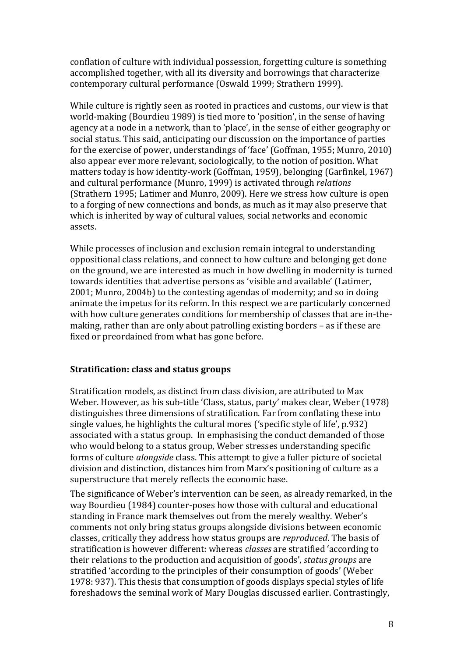conflation of culture with individual possession, forgetting culture is something accomplished together, with all its diversity and borrowings that characterize contemporary cultural performance (Oswald 1999; Strathern 1999).

While culture is rightly seen as rooted in practices and customs, our view is that world-making (Bourdieu 1989) is tied more to 'position', in the sense of having agency at a node in a network, than to 'place', in the sense of either geography or social status. This said, anticipating our discussion on the importance of parties for the exercise of power, understandings of 'face' (Goffman, 1955; Munro, 2010) also appear ever more relevant, sociologically, to the notion of position. What matters today is how identity-work (Goffman, 1959), belonging (Garfinkel, 1967) and cultural performance (Munro, 1999) is activated through *relations* (Strathern 1995; Latimer and Munro, 2009). Here we stress how culture is open to a forging of new connections and bonds, as much as it may also preserve that which is inherited by way of cultural values, social networks and economic assets.

While processes of inclusion and exclusion remain integral to understanding oppositional class relations, and connect to how culture and belonging get done on the ground, we are interested as much in how dwelling in modernity is turned towards identities that advertise persons as 'visible and available' (Latimer, 2001; Munro, 2004b) to the contesting agendas of modernity; and so in doing animate the impetus for its reform. In this respect we are particularly concerned with how culture generates conditions for membership of classes that are in-themaking, rather than are only about patrolling existing borders – as if these are fixed or preordained from what has gone before.

#### **Stratification: class and status groups**

Stratification models, as distinct from class division, are attributed to Max Weber. However, as his sub-title 'Class, status, party' makes clear, Weber (1978) distinguishes three dimensions of stratification. Far from conflating these into single values, he highlights the cultural mores ('specific style of life', p.932) associated with a status group. In emphasising the conduct demanded of those who would belong to a status group, Weber stresses understanding specific forms of culture *alongside* class. This attempt to give a fuller picture of societal division and distinction, distances him from Marx's positioning of culture as a superstructure that merely reflects the economic base.

The significance of Weber's intervention can be seen, as already remarked, in the way Bourdieu (1984) counter-poses how those with cultural and educational standing in France mark themselves out from the merely wealthy. Weber's comments not only bring status groups alongside divisions between economic classes, critically they address how status groups are *reproduced*. The basis of stratification is however different: whereas *classes* are stratified 'according to their relations to the production and acquisition of goods', *status groups* are stratified 'according to the principles of their consumption of goods' (Weber 1978: 937). This thesis that consumption of goods displays special styles of life foreshadows the seminal work of Mary Douglas discussed earlier. Contrastingly,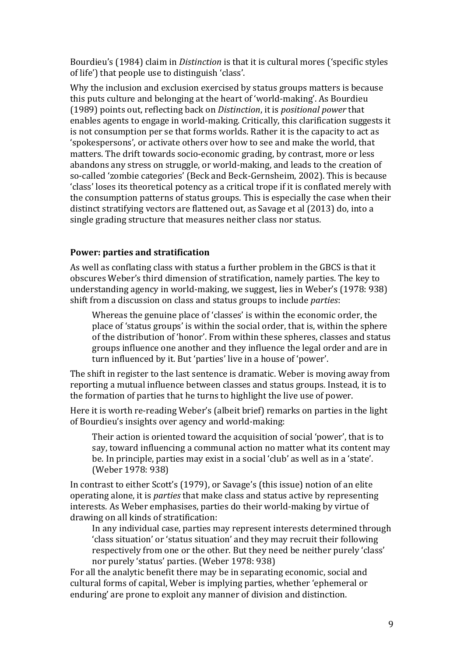Bourdieu's (1984) claim in *Distinction* is that it is cultural mores ('specific styles of life') that people use to distinguish 'class'.

Why the inclusion and exclusion exercised by status groups matters is because this puts culture and belonging at the heart of 'world-making'. As Bourdieu (1989) points out, reflecting back on *Distinction*, it is *positional power* that enables agents to engage in world-making. Critically, this clarification suggests it is not consumption per se that forms worlds. Rather it is the capacity to act as 'spokespersons', or activate others over how to see and make the world, that matters. The drift towards socio-economic grading, by contrast, more or less abandons any stress on struggle, or world-making, and leads to the creation of so-called 'zombie categories' (Beck and Beck-Gernsheim, 2002). This is because 'class' loses its theoretical potency as a critical trope if it is conflated merely with the consumption patterns of status groups. This is especially the case when their distinct stratifying vectors are flattened out, as Savage et al (2013) do, into a single grading structure that measures neither class nor status.

# **Power: parties and stratification**

As well as conflating class with status a further problem in the GBCS is that it obscures Weber's third dimension of stratification, namely parties. The key to understanding agency in world-making, we suggest, lies in Weber's (1978: 938) shift from a discussion on class and status groups to include *parties*:

Whereas the genuine place of 'classes' is within the economic order, the place of 'status groups' is within the social order, that is, within the sphere of the distribution of 'honor'. From within these spheres, classes and status groups influence one another and they influence the legal order and are in turn influenced by it. But 'parties' live in a house of 'power'.

The shift in register to the last sentence is dramatic. Weber is moving away from reporting a mutual influence between classes and status groups. Instead, it is to the formation of parties that he turns to highlight the live use of power.

Here it is worth re-reading Weber's (albeit brief) remarks on parties in the light of Bourdieu's insights over agency and world-making:

Their action is oriented toward the acquisition of social 'power', that is to say, toward influencing a communal action no matter what its content may be. In principle, parties may exist in a social 'club' as well as in a 'state'. (Weber 1978: 938)

In contrast to either Scott's (1979), or Savage's (this issue) notion of an elite operating alone, it is *parties* that make class and status active by representing interests. As Weber emphasises, parties do their world-making by virtue of drawing on all kinds of stratification:

In any individual case, parties may represent interests determined through 'class situation' or 'status situation' and they may recruit their following respectively from one or the other. But they need be neither purely 'class' nor purely 'status' parties. (Weber 1978: 938)

For all the analytic benefit there may be in separating economic, social and cultural forms of capital, Weber is implying parties, whether 'ephemeral or enduring' are prone to exploit any manner of division and distinction.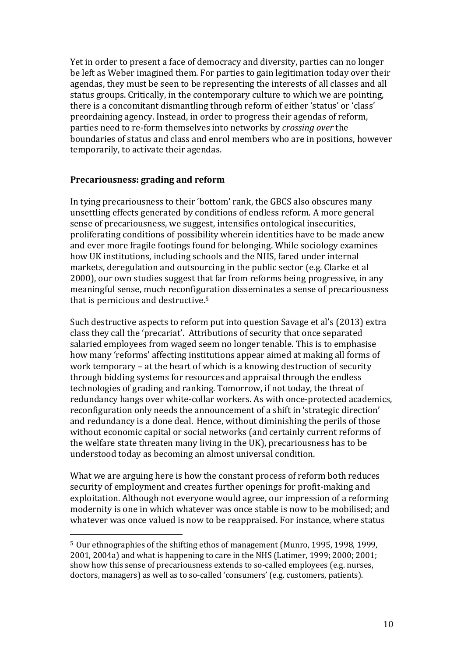Yet in order to present a face of democracy and diversity, parties can no longer be left as Weber imagined them. For parties to gain legitimation today over their agendas, they must be seen to be representing the interests of all classes and all status groups. Critically, in the contemporary culture to which we are pointing, there is a concomitant dismantling through reform of either 'status' or 'class' preordaining agency. Instead, in order to progress their agendas of reform, parties need to re-form themselves into networks by *crossing over* the boundaries of status and class and enrol members who are in positions, however temporarily, to activate their agendas.

#### **Precariousness: grading and reform**

 $\overline{a}$ 

In tying precariousness to their 'bottom' rank, the GBCS also obscures many unsettling effects generated by conditions of endless reform. A more general sense of precariousness, we suggest, intensifies ontological insecurities, proliferating conditions of possibility wherein identities have to be made anew and ever more fragile footings found for belonging. While sociology examines how UK institutions, including schools and the NHS, fared under internal markets, deregulation and outsourcing in the public sector (e.g. Clarke et al 2000), our own studies suggest that far from reforms being progressive, in any meaningful sense, much reconfiguration disseminates a sense of precariousness that is pernicious and destructive.<sup>5</sup>

Such destructive aspects to reform put into question Savage et al's (2013) extra class they call the 'precariat'. Attributions of security that once separated salaried employees from waged seem no longer tenable. This is to emphasise how many 'reforms' affecting institutions appear aimed at making all forms of work temporary – at the heart of which is a knowing destruction of security through bidding systems for resources and appraisal through the endless technologies of grading and ranking. Tomorrow, if not today, the threat of redundancy hangs over white-collar workers. As with once-protected academics, reconfiguration only needs the announcement of a shift in 'strategic direction' and redundancy is a done deal. Hence, without diminishing the perils of those without economic capital or social networks (and certainly current reforms of the welfare state threaten many living in the UK), precariousness has to be understood today as becoming an almost universal condition.

What we are arguing here is how the constant process of reform both reduces security of employment and creates further openings for profit-making and exploitation. Although not everyone would agree, our impression of a reforming modernity is one in which whatever was once stable is now to be mobilised; and whatever was once valued is now to be reappraised. For instance, where status

<sup>5</sup> Our ethnographies of the shifting ethos of management (Munro, 1995, 1998, 1999, 2001, 2004a) and what is happening to care in the NHS (Latimer, 1999; 2000; 2001; show how this sense of precariousness extends to so-called employees (e.g. nurses, doctors, managers) as well as to so-called 'consumers' (e.g. customers, patients).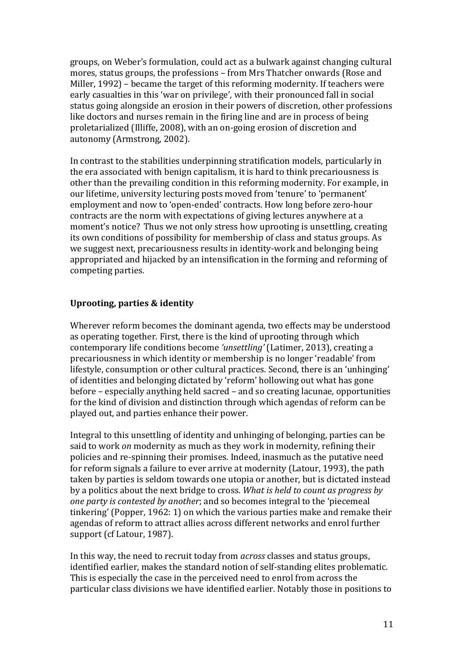groups, on Weber's formulation, could act as a bulwark against changing cultural mores, status groups, the professions – from Mrs Thatcher onwards (Rose and Miller, 1992) – became the target of this reforming modernity. If teachers were early casualties in this 'war on privilege', with their pronounced fall in social status going alongside an erosion in their powers of discretion, other professions like doctors and nurses remain in the firing line and are in process of being proletarialized (Illiffe, 2008), with an on-going erosion of discretion and autonomy (Armstrong, 2002).

In contrast to the stabilities underpinning stratification models, particularly in the era associated with benign capitalism, it is hard to think precariousness is other than the prevailing condition in this reforming modernity. For example, in our lifetime, university lecturing posts moved from 'tenure' to 'permanent' employment and now to 'open-ended' contracts. How long before zero-hour contracts are the norm with expectations of giving lectures anywhere at a moment's notice? Thus we not only stress how uprooting is unsettling, creating its own conditions of possibility for membership of class and status groups. As we suggest next, precariousness results in identity-work and belonging being appropriated and hijacked by an intensification in the forming and reforming of competing parties.

# **Uprooting, parties & identity**

Wherever reform becomes the dominant agenda, two effects may be understood as operating together. First, there is the kind of uprooting through which contemporary life conditions become *'unsettling'* (Latimer, 2013), creating a precariousness in which identity or membership is no longer 'readable' from lifestyle, consumption or other cultural practices. Second, there is an 'unhinging' of identities and belonging dictated by 'reform' hollowing out what has gone before – especially anything held sacred – and so creating lacunae, opportunities for the kind of division and distinction through which agendas of reform can be played out, and parties enhance their power.

Integral to this unsettling of identity and unhinging of belonging, parties can be said to work *on* modernity as much as they work in modernity, refining their policies and re-spinning their promises. Indeed, inasmuch as the putative need for reform signals a failure to ever arrive at modernity (Latour, 1993), the path taken by parties is seldom towards one utopia or another, but is dictated instead by a politics about the next bridge to cross. *What is held to count as progress by one party is contested by another*; and so becomes integral to the 'piecemeal tinkering' (Popper, 1962: 1) on which the various parties make and remake their agendas of reform to attract allies across different networks and enrol further support (cf Latour, 1987).

In this way, the need to recruit today from *across* classes and status groups, identified earlier, makes the standard notion of self-standing elites problematic. This is especially the case in the perceived need to enrol from across the particular class divisions we have identified earlier. Notably those in positions to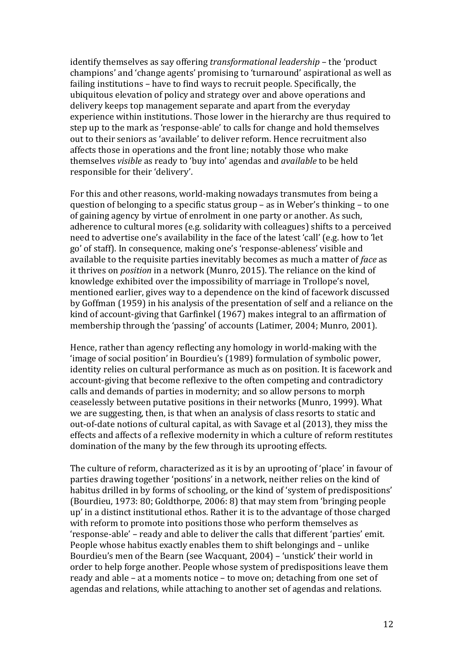identify themselves as say offering *transformational leadership* – the 'product champions' and 'change agents' promising to 'turnaround' aspirational as well as failing institutions – have to find ways to recruit people*.* Specifically, the ubiquitous elevation of policy and strategy over and above operations and delivery keeps top management separate and apart from the everyday experience within institutions. Those lower in the hierarchy are thus required to step up to the mark as 'response-able' to calls for change and hold themselves out to their seniors as 'available' to deliver reform. Hence recruitment also affects those in operations and the front line; notably those who make themselves *visible* as ready to 'buy into' agendas and *available* to be held responsible for their 'delivery'.

For this and other reasons, world-making nowadays transmutes from being a question of belonging to a specific status group – as in Weber's thinking – to one of gaining agency by virtue of enrolment in one party or another. As such, adherence to cultural mores (e.g. solidarity with colleagues) shifts to a perceived need to advertise one's availability in the face of the latest 'call' (e.g. how to 'let go' of staff). In consequence, making one's 'response-ableness' visible and available to the requisite parties inevitably becomes as much a matter of *face* as it thrives on *position* in a network (Munro, 2015). The reliance on the kind of knowledge exhibited over the impossibility of marriage in Trollope's novel, mentioned earlier, gives way to a dependence on the kind of facework discussed by Goffman (1959) in his analysis of the presentation of self and a reliance on the kind of account-giving that Garfinkel (1967) makes integral to an affirmation of membership through the 'passing' of accounts (Latimer, 2004; Munro, 2001).

Hence, rather than agency reflecting any homology in world-making with the 'image of social position' in Bourdieu's (1989) formulation of symbolic power, identity relies on cultural performance as much as on position. It is facework and account-giving that become reflexive to the often competing and contradictory calls and demands of parties in modernity; and so allow persons to morph ceaselessly between putative positions in their networks (Munro, 1999). What we are suggesting, then, is that when an analysis of class resorts to static and out-of-date notions of cultural capital, as with Savage et al (2013), they miss the effects and affects of a reflexive modernity in which a culture of reform restitutes domination of the many by the few through its uprooting effects.

The culture of reform, characterized as it is by an uprooting of 'place' in favour of parties drawing together 'positions' in a network, neither relies on the kind of habitus drilled in by forms of schooling, or the kind of 'system of predispositions' (Bourdieu, 1973: 80; Goldthorpe, 2006: 8) that may stem from 'bringing people up' in a distinct institutional ethos. Rather it is to the advantage of those charged with reform to promote into positions those who perform themselves as 'response-able' – ready and able to deliver the calls that different 'parties' emit. People whose habitus exactly enables them to shift belongings and – unlike Bourdieu's men of the Bearn (see Wacquant, 2004) – 'unstick' their world in order to help forge another. People whose system of predispositions leave them ready and able – at a moments notice – to move on; detaching from one set of agendas and relations, while attaching to another set of agendas and relations.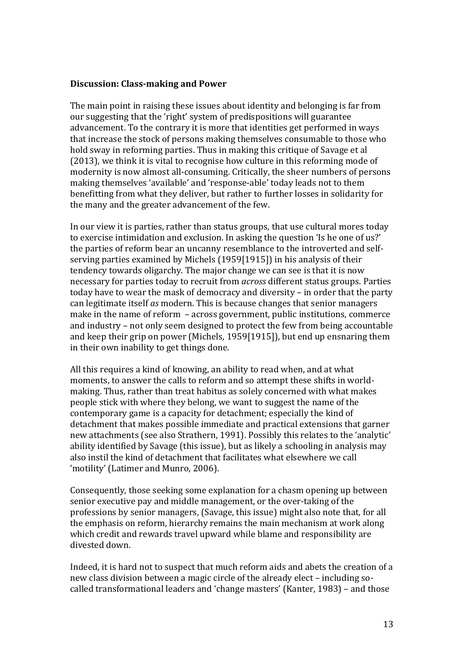## **Discussion: Class-making and Power**

The main point in raising these issues about identity and belonging is far from our suggesting that the 'right' system of predispositions will guarantee advancement. To the contrary it is more that identities get performed in ways that increase the stock of persons making themselves consumable to those who hold sway in reforming parties. Thus in making this critique of Savage et al (2013), we think it is vital to recognise how culture in this reforming mode of modernity is now almost all-consuming. Critically, the sheer numbers of persons making themselves 'available' and 'response-able' today leads not to them benefitting from what they deliver, but rather to further losses in solidarity for the many and the greater advancement of the few.

In our view it is parties, rather than status groups, that use cultural mores today to exercise intimidation and exclusion. In asking the question 'Is he one of us?' the parties of reform bear an uncanny resemblance to the introverted and selfserving parties examined by Michels (1959[1915]) in his analysis of their tendency towards oligarchy. The major change we can see is that it is now necessary for parties today to recruit from *across* different status groups. Parties today have to wear the mask of democracy and diversity – in order that the party can legitimate itself *as* modern. This is because changes that senior managers make in the name of reform – across government, public institutions, commerce and industry – not only seem designed to protect the few from being accountable and keep their grip on power (Michels, 1959[1915]), but end up ensnaring them in their own inability to get things done.

All this requires a kind of knowing, an ability to read when, and at what moments, to answer the calls to reform and so attempt these shifts in worldmaking. Thus, rather than treat habitus as solely concerned with what makes people stick with where they belong, we want to suggest the name of the contemporary game is a capacity for detachment; especially the kind of detachment that makes possible immediate and practical extensions that garner new attachments (see also Strathern, 1991). Possibly this relates to the 'analytic' ability identified by Savage (this issue), but as likely a schooling in analysis may also instil the kind of detachment that facilitates what elsewhere we call 'motility' (Latimer and Munro, 2006).

Consequently, those seeking some explanation for a chasm opening up between senior executive pay and middle management, or the over-taking of the professions by senior managers, (Savage, this issue) might also note that, for all the emphasis on reform, hierarchy remains the main mechanism at work along which credit and rewards travel upward while blame and responsibility are divested down.

Indeed, it is hard not to suspect that much reform aids and abets the creation of a new class division between a magic circle of the already elect – including socalled transformational leaders and 'change masters' (Kanter, 1983) – and those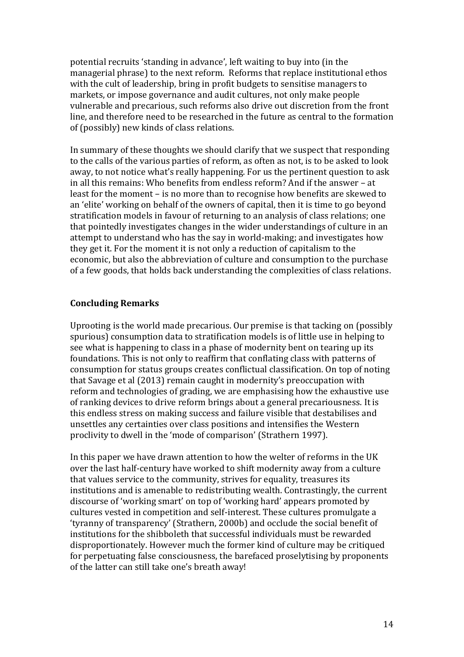potential recruits 'standing in advance', left waiting to buy into (in the managerial phrase) to the next reform. Reforms that replace institutional ethos with the cult of leadership, bring in profit budgets to sensitise managers to markets, or impose governance and audit cultures, not only make people vulnerable and precarious, such reforms also drive out discretion from the front line, and therefore need to be researched in the future as central to the formation of (possibly) new kinds of class relations.

In summary of these thoughts we should clarify that we suspect that responding to the calls of the various parties of reform, as often as not, is to be asked to look away, to not notice what's really happening. For us the pertinent question to ask in all this remains: Who benefits from endless reform? And if the answer – at least for the moment – is no more than to recognise how benefits are skewed to an 'elite' working on behalf of the owners of capital, then it is time to go beyond stratification models in favour of returning to an analysis of class relations; one that pointedly investigates changes in the wider understandings of culture in an attempt to understand who has the say in world-making; and investigates how they get it. For the moment it is not only a reduction of capitalism to the economic, but also the abbreviation of culture and consumption to the purchase of a few goods, that holds back understanding the complexities of class relations.

# **Concluding Remarks**

Uprooting is the world made precarious. Our premise is that tacking on (possibly spurious) consumption data to stratification models is of little use in helping to see what is happening to class in a phase of modernity bent on tearing up its foundations. This is not only to reaffirm that conflating class with patterns of consumption for status groups creates conflictual classification. On top of noting that Savage et al (2013) remain caught in modernity's preoccupation with reform and technologies of grading, we are emphasising how the exhaustive use of ranking devices to drive reform brings about a general precariousness. It is this endless stress on making success and failure visible that destabilises and unsettles any certainties over class positions and intensifies the Western proclivity to dwell in the 'mode of comparison' (Strathern 1997).

In this paper we have drawn attention to how the welter of reforms in the UK over the last half-century have worked to shift modernity away from a culture that values service to the community, strives for equality, treasures its institutions and is amenable to redistributing wealth. Contrastingly, the current discourse of 'working smart' on top of 'working hard' appears promoted by cultures vested in competition and self-interest. These cultures promulgate a 'tyranny of transparency' (Strathern, 2000b) and occlude the social benefit of institutions for the shibboleth that successful individuals must be rewarded disproportionately. However much the former kind of culture may be critiqued for perpetuating false consciousness, the barefaced proselytising by proponents of the latter can still take one's breath away!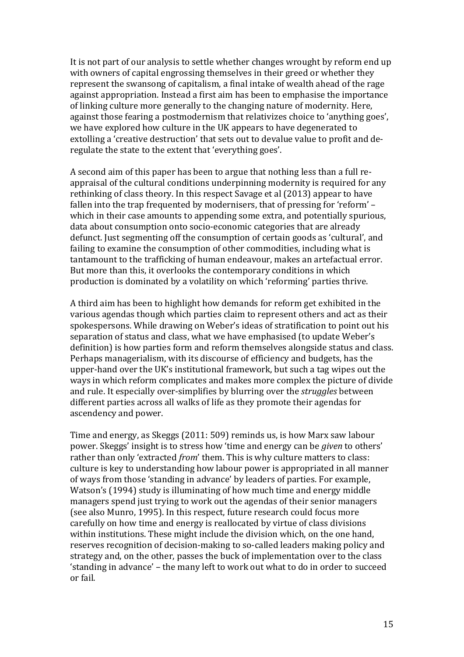It is not part of our analysis to settle whether changes wrought by reform end up with owners of capital engrossing themselves in their greed or whether they represent the swansong of capitalism, a final intake of wealth ahead of the rage against appropriation. Instead a first aim has been to emphasise the importance of linking culture more generally to the changing nature of modernity. Here, against those fearing a postmodernism that relativizes choice to 'anything goes', we have explored how culture in the UK appears to have degenerated to extolling a 'creative destruction' that sets out to devalue value to profit and deregulate the state to the extent that 'everything goes'.

A second aim of this paper has been to argue that nothing less than a full reappraisal of the cultural conditions underpinning modernity is required for any rethinking of class theory. In this respect Savage et al (2013) appear to have fallen into the trap frequented by modernisers, that of pressing for 'reform' – which in their case amounts to appending some extra, and potentially spurious, data about consumption onto socio-economic categories that are already defunct. Just segmenting off the consumption of certain goods as 'cultural', and failing to examine the consumption of other commodities, including what is tantamount to the trafficking of human endeavour, makes an artefactual error. But more than this, it overlooks the contemporary conditions in which production is dominated by a volatility on which 'reforming' parties thrive.

A third aim has been to highlight how demands for reform get exhibited in the various agendas though which parties claim to represent others and act as their spokespersons. While drawing on Weber's ideas of stratification to point out his separation of status and class, what we have emphasised (to update Weber's definition) is how parties form and reform themselves alongside status and class. Perhaps managerialism, with its discourse of efficiency and budgets, has the upper-hand over the UK's institutional framework, but such a tag wipes out the ways in which reform complicates and makes more complex the picture of divide and rule. It especially over-simplifies by blurring over the *struggles* between different parties across all walks of life as they promote their agendas for ascendency and power.

Time and energy, as Skeggs (2011: 509) reminds us, is how Marx saw labour power. Skeggs' insight is to stress how 'time and energy can be *given* to others' rather than only 'extracted *from*' them. This is why culture matters to class: culture is key to understanding how labour power is appropriated in all manner of ways from those 'standing in advance' by leaders of parties. For example, Watson's (1994) study is illuminating of how much time and energy middle managers spend just trying to work out the agendas of their senior managers (see also Munro, 1995). In this respect, future research could focus more carefully on how time and energy is reallocated by virtue of class divisions within institutions. These might include the division which, on the one hand, reserves recognition of decision-making to so-called leaders making policy and strategy and, on the other, passes the buck of implementation over to the class 'standing in advance' – the many left to work out what to do in order to succeed or fail.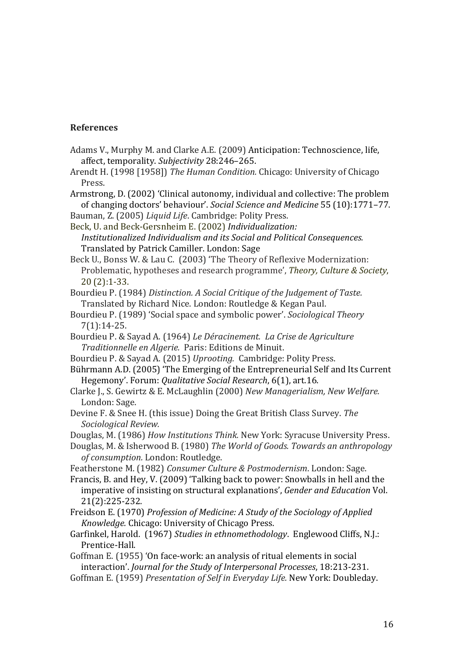#### **References**

- Adams V., Murphy M. and Clarke A.E. (2009) Anticipation: Technoscience, life, affect, temporality. *Subjectivity* 28:246–265.
- Arendt H. (1998 [1958]) *The Human Condition.* Chicago: University of Chicago Press.

Armstrong, D. (2002) 'Clinical autonomy, individual and collective: The problem of changing doctors' behaviour'. *Social Science and Medicine* 55 (10):1771–77.

Bauman, Z. (2005) *Liquid Life*. Cambridge: Polity Press.

Beck, U. and Beck-Gersnheim E. (2002) *Individualization: Institutionalized Individualism and its Social and Political Consequences.*  Translated by Patrick Camiller. London: Sage

[Beck](http://tcs.sagepub.com/search?author1=Ulrich+Beck&sortspec=date&submit=Submit) U., [Bonss](http://tcs.sagepub.com/search?author1=Wolfgang+Bonss&sortspec=date&submit=Submit) W. & Lau C. (2003) 'The Theory of Reflexive Modernization: Problematic, hypotheses and research programme', *Theory, Culture & Society*, 20 (2):1-33.

- Bourdieu P. (1984) *Distinction. A Social Critique of the Judgement of Taste.*  Translated by Richard Nice. London: Routledge & Kegan Paul.
- Bourdieu P. (1989) 'Social space and symbolic power'. *Sociological Theory* 7(1):14-25.
- Bourdieu P. & Sayad A. (1964) *Le Déracinement. La Crise de Agriculture Traditionnelle en Algerie.* Paris: Editions de Minuit.
- Bourdieu P. & Sayad A. (2015) *Uprooting.* Cambridge: Polity Press.
- Bührmann A.D. (2005) 'The Emerging of the Entrepreneurial Self and Its Current Hegemony'. Forum: *Qualitative Social Research*, 6(1), art.16.
- Clarke J., S. Gewirtz & E. McLaughlin (2000) *New Managerialism, New Welfare.*  London: Sage.
- Devine F. & Snee H. (this issue) Doing the Great British Class Survey. *The Sociological Review.*
- Douglas, M. (1986) *How Institutions Think.* New York: Syracuse University Press.
- Douglas, M. & Isherwood B. (1980) *The World of Goods. Towards an anthropology of consumption.* London: Routledge.
- Featherstone M. (1982) *Consumer Culture & Postmodernism*. London: Sage.

Francis, B. and Hey, V. (2009) 'Talking back to power: Snowballs in hell and the imperative of insisting on structural explanations', *Gender and Education* Vol. 21(2):225-232.

- Freidson E. (1970) *Profession of Medicine: A Study of the Sociology of Applied Knowledge.* Chicago: University of Chicago Press.
- Garfinkel, Harold. (1967) *Studies in ethnomethodology*. Englewood Cliffs, N.J.: Prentice-Hall.

Goffman E. (1955) 'On face-work: an analysis of ritual elements in social interaction'. *Journal for the Study of Interpersonal Processes*, 18:213-231.

Goffman E. (1959) *Presentation of Self in Everyday Life.* New York: Doubleday.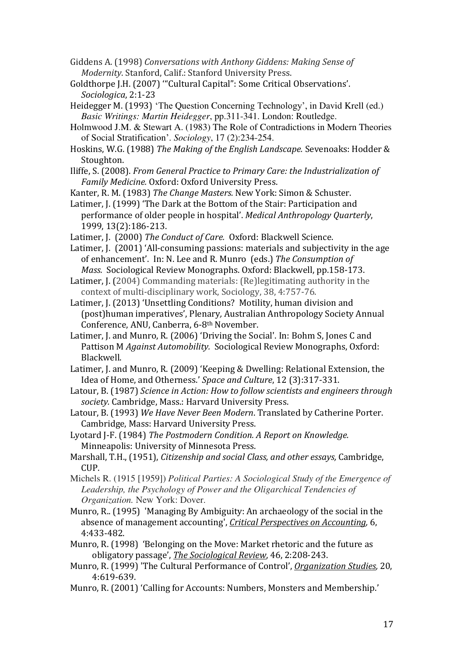- Giddens A. (1998) *Conversations with Anthony Giddens: Making Sense of Modernity*. Stanford, Calif.: Stanford University Press.
- Goldthorpe J.H. (2007) '"Cultural Capital": Some Critical Observations'. *Sociologica*, 2:1-23
- Heidegger M. (1993) 'The Question Concerning Technology', in David Krell (ed.) *Basic Writings: Martin Heidegger*, pp.311-341. London: Routledge.
- Holmwood J.M. & Stewart A. (1983) The Role of Contradictions in Modern Theories of Social Stratification'. *Sociology*, 17 (2):234-254.
- Hoskins, W.G. (1988) *The Making of the English Landscape.* Sevenoaks: Hodder & Stoughton.
- Iliffe, S. (2008). *From General Practice to Primary Care: the Industrialization of Family Medicine.* Oxford: Oxford University Press.
- Kanter, R. M. (1983) *The Change Masters.* New York: Simon & Schuster.
- Latimer, J. (1999) 'The Dark at the Bottom of the Stair: Participation and performance of older people in hospital'. *Medical Anthropology Quarterly*, 1999, 13(2):186-213.
- Latimer, J. (2000) *The Conduct of Care.* Oxford: Blackwell Science.
- Latimer, J. (2001) 'All-consuming passions: materials and subjectivity in the age of enhancement'. In: N. Lee and R. Munro (eds.) *The Consumption of Mass.* Sociological Review Monographs. Oxford: Blackwell, pp.158-173.
- Latimer, J. (2004) Commanding materials: (Re)legitimating authority in the context of multi-disciplinary work, Sociology, 38, 4:757-76.
- Latimer, J. (2013) 'Unsettling Conditions? Motility, human division and (post)human imperatives', Plenary*,* Australian Anthropology Society Annual Conference, ANU, Canberra, 6-8th November.
- Latimer, J. and Munro, R. (2006) 'Driving the Social'. In: Bohm S, Jones C and Pattison M *Against Automobility.* Sociological Review Monographs, Oxford: Blackwell.
- Latimer, J. and Munro, R. (2009) '[Keeping & Dwelling: Relational Extension, the](http://sac.sagepub.com/content/12/3/317.abstract)  [Idea of Home, and Otherness.](http://sac.sagepub.com/content/12/3/317.abstract)' *Space and Culture*, 12 (3):317-331.
- Latour, B. (1987) *Science in Action: How to follow scientists and engineers through society.* Cambridge, Mass.: Harvard University Press.
- Latour, B. (1993) *We Have Never Been Modern*. Translated by Catherine Porter. Cambridge, Mass: Harvard University Press.
- Lyotard J-F. (1984) *The Postmodern Condition. A Report on Knowledge.*  Minneapolis: University of Minnesota Press.
- Marshall, T.H., (1951), *Citizenship and social Class, and other essays,* Cambridge, CUP.
- Michels R. (1915 [1959]) *Political Parties: A Sociological Study of the Emergence of Leadership, the Psychology of Power and the Oligarchical Tendencies of Organization.* New York: Dover.
- Munro, R.. (1995) 'Managing By Ambiguity: An archaeology of the social in the absence of management accounting', *Critical Perspectives on Accounting,* 6, 4:433-482.
- Munro, R. (1998) 'Belonging on the Move: Market rhetoric and the future as obligatory passage', *The Sociological Review*, 46, 2:208-243.
- Munro, R. (1999) 'The Cultural Performance of Control', *Organization Studies,* 20, 4:619-639.
- Munro, R. (2001) 'Calling for Accounts: Numbers, Monsters and Membership.'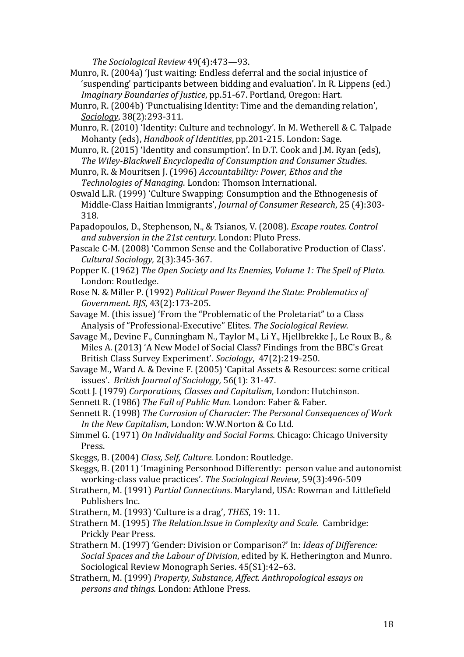*The Sociological Review* 49(4):473—93.

- Munro, R. (2004a) 'Just waiting: Endless deferral and the social injustice of 'suspending' participants between bidding and evaluation'. In R. Lippens (ed.) *Imaginary Boundaries of Justice*, pp.51-67. Portland, Oregon: Hart.
- Munro, R. (2004b) 'Punctualising Identity: Time and the demanding relation', *Sociology*, 38(2):293-311.
- Munro, R. (2010) 'Identity: Culture and technology'. In M. Wetherell & C. Talpade Mohanty (eds), *Handbook of Identities*, pp.201-215. London: Sage.
- Munro, R. (2015) 'Identity and consumption'. In D.T. Cook and J.M. Ryan (eds), *The Wiley-Blackwell Encyclopedia of Consumption and Consumer Studies*.
- Munro, R. & Mouritsen J. (1996) *Accountability: Power, Ethos and the Technologies of Managing*. London: Thomson International.
- Oswald L.R. (1999) 'Culture Swapping: Consumption and the Ethnogenesis of Middle‐Class Haitian Immigrants', *Journal of Consumer Research*, 25 (4):303- 318.
- Papadopoulos, D., Stephenson, N., & Tsianos, V. (2008). *[Escape routes. Control](http://www.plutobooks.com/display.asp?K=9780745327785)  [and subversion in the 21st century.](http://www.plutobooks.com/display.asp?K=9780745327785)* London: Pluto Press.
- Pascale C-M. (2008) 'Common Sense and the Collaborative Production of Class'. *Cultural Sociology,* 2(3):345-367.
- Popper K. (1962) *The Open Society and Its Enemies, Volume 1: The Spell of Plato.* London: Routledge.
- Rose N. & Miller P. (1992) *Political Power Beyond the State: Problematics of Government. BJS*, 43(2):173-205.
- Savage M. (this issue) 'From the "Problematic of the Proletariat" to a Class Analysis of "Professional-Executive" Elites. *The Sociological Review.*
- Savage M., Devine F., Cunningham N., Taylor M., Li Y., Hjellbrekke J., Le Roux B., & Miles A. (2013) 'A New Model of Social Class? Findings from the BBC's Great British Class Survey Experiment'. *Sociology*, 47(2):219-250.
- Savage M., Ward A. & Devine F. (2005) 'Capital Assets & Resources: some critical issues'. *British Journal of Sociology,* 56(1): 31-47.
- Scott J. (1979) *Corporations, Classes and Capitalism*, London: Hutchinson.
- Sennett R. (1986) *The Fall of Public Man.* London: Faber & Faber.
- Sennett R. (1998) *The Corrosion of Character: The Personal Consequences of Work In the New Capitalism*, London: W.W.Norton & Co Ltd.
- Simmel G. (1971) *On Individuality and Social Forms.* Chicago: Chicago University Press.
- Skeggs, B. (2004) *Class, Self, Culture.* London: Routledge.
- Skeggs, B. (2011) 'Imagining Personhood Differently: person value and autonomist working-class value practices'. *The Sociological Review*, 59(3):496-509
- Strathern, M. (1991) *Partial Connections*. Maryland, USA: Rowman and Littlefield Publishers Inc.
- Strathern, M. (1993) 'Culture is a drag', *THES*, 19: 11.
- Strathern M. (1995) *The Relation.Issue in Complexity and Scale.* Cambridge: Prickly Pear Press.
- Strathern M. (1997) 'Gender: Division or Comparison?' In: *Ideas of Difference: Social Spaces and the Labour of Division*, edited by K. Hetherington and Munro. Sociological Review Monograph Series. 45(S1):42–63.
- Strathern, M. (1999) *Property, Substance, Affect. Anthropological essays on persons and things.* London: Athlone Press.